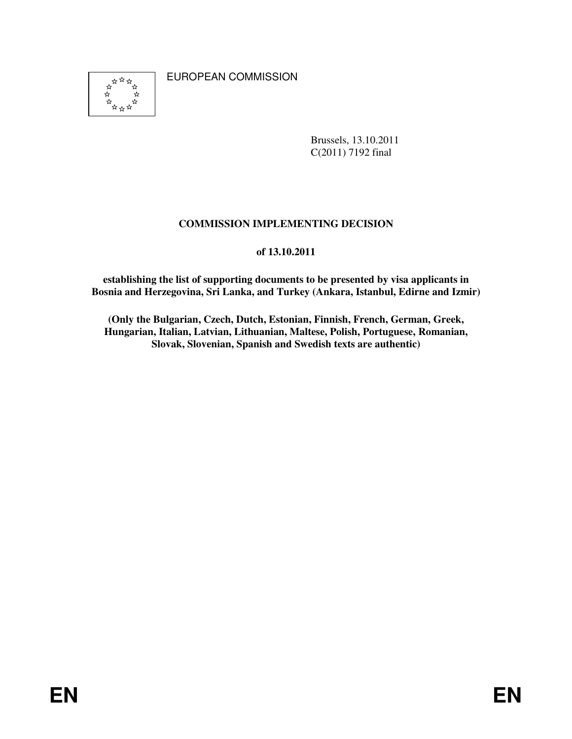☆ \*\*\* ☆

EUROPEAN COMMISSION

Brussels, 13.10.2011 C(2011) 7192 final

# **COMMISSION IMPLEMENTING DECISION**

# **of 13.10.2011**

**establishing the list of supporting documents to be presented by visa applicants in Bosnia and Herzegovina, Sri Lanka, and Turkey (Ankara, Istanbul, Edirne and Izmir)** 

**(Only the Bulgarian, Czech, Dutch, Estonian, Finnish, French, German, Greek, Hungarian, Italian, Latvian, Lithuanian, Maltese, Polish, Portuguese, Romanian, Slovak, Slovenian, Spanish and Swedish texts are authentic)**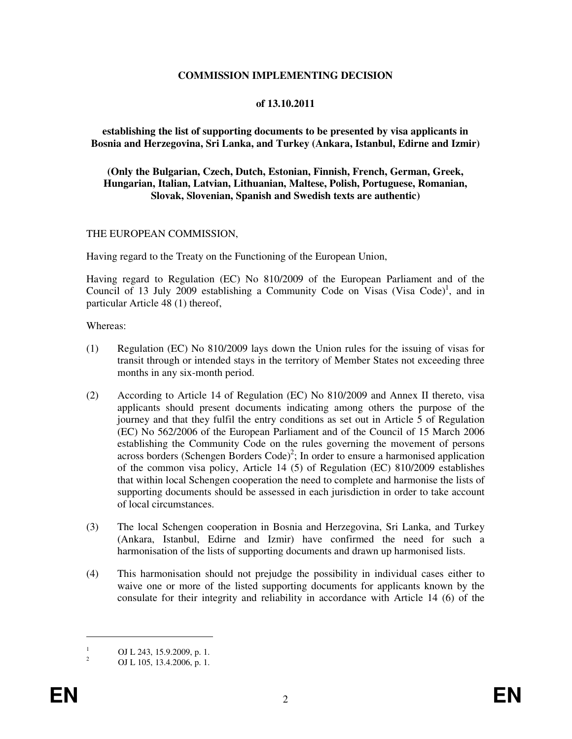#### **COMMISSION IMPLEMENTING DECISION**

#### **of 13.10.2011**

#### **establishing the list of supporting documents to be presented by visa applicants in Bosnia and Herzegovina, Sri Lanka, and Turkey (Ankara, Istanbul, Edirne and Izmir)**

#### **(Only the Bulgarian, Czech, Dutch, Estonian, Finnish, French, German, Greek, Hungarian, Italian, Latvian, Lithuanian, Maltese, Polish, Portuguese, Romanian, Slovak, Slovenian, Spanish and Swedish texts are authentic)**

#### THE EUROPEAN COMMISSION,

Having regard to the Treaty on the Functioning of the European Union,

Having regard to Regulation (EC) No 810/2009 of the European Parliament and of the Council of 13 July 2009 establishing a Community Code on Visas (Visa Code)<sup>1</sup>, and in particular Article 48 (1) thereof,

#### Whereas:

- (1) Regulation (EC) No 810/2009 lays down the Union rules for the issuing of visas for transit through or intended stays in the territory of Member States not exceeding three months in any six-month period.
- (2) According to Article 14 of Regulation (EC) No 810/2009 and Annex II thereto, visa applicants should present documents indicating among others the purpose of the journey and that they fulfil the entry conditions as set out in Article 5 of Regulation (EC) No 562/2006 of the European Parliament and of the Council of 15 March 2006 establishing the Community Code on the rules governing the movement of persons across borders (Schengen Borders Code)<sup>2</sup>; In order to ensure a harmonised application of the common visa policy, Article 14 (5) of Regulation (EC) 810/2009 establishes that within local Schengen cooperation the need to complete and harmonise the lists of supporting documents should be assessed in each jurisdiction in order to take account of local circumstances.
- (3) The local Schengen cooperation in Bosnia and Herzegovina, Sri Lanka, and Turkey (Ankara, Istanbul, Edirne and Izmir) have confirmed the need for such a harmonisation of the lists of supporting documents and drawn up harmonised lists.
- (4) This harmonisation should not prejudge the possibility in individual cases either to waive one or more of the listed supporting documents for applicants known by the consulate for their integrity and reliability in accordance with Article 14 (6) of the

<sup>1</sup> OJ L 243, 15.9.2009, p. 1.

<sup>2</sup> OJ L 105, 13.4.2006, p. 1.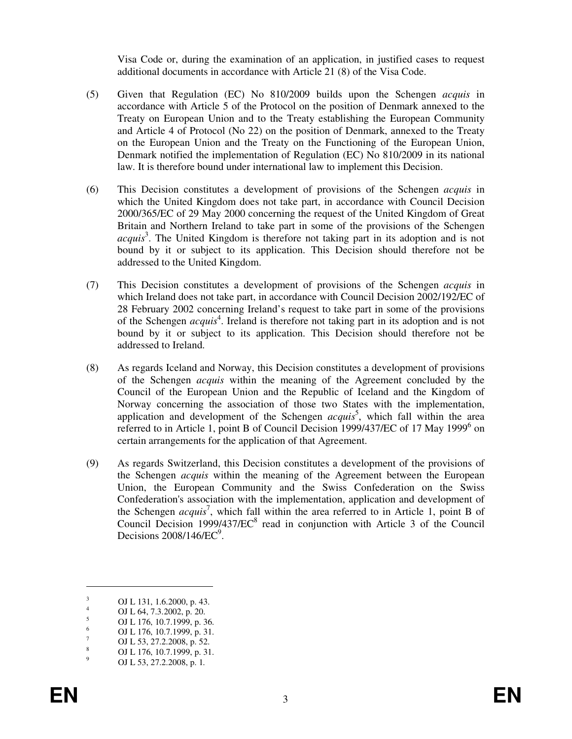Visa Code or, during the examination of an application, in justified cases to request additional documents in accordance with Article 21 (8) of the Visa Code.

- (5) Given that Regulation (EC) No 810/2009 builds upon the Schengen *acquis* in accordance with Article 5 of the Protocol on the position of Denmark annexed to the Treaty on European Union and to the Treaty establishing the European Community and Article 4 of Protocol (No 22) on the position of Denmark, annexed to the Treaty on the European Union and the Treaty on the Functioning of the European Union, Denmark notified the implementation of Regulation (EC) No 810/2009 in its national law. It is therefore bound under international law to implement this Decision.
- (6) This Decision constitutes a development of provisions of the Schengen *acquis* in which the United Kingdom does not take part, in accordance with Council Decision 2000/365/EC of 29 May 2000 concerning the request of the United Kingdom of Great Britain and Northern Ireland to take part in some of the provisions of the Schengen acquis<sup>3</sup>. The United Kingdom is therefore not taking part in its adoption and is not bound by it or subject to its application. This Decision should therefore not be addressed to the United Kingdom.
- (7) This Decision constitutes a development of provisions of the Schengen *acquis* in which Ireland does not take part, in accordance with Council Decision 2002/192/EC of 28 February 2002 concerning Ireland's request to take part in some of the provisions of the Schengen *acquis*<sup>4</sup>. Ireland is therefore not taking part in its adoption and is not bound by it or subject to its application. This Decision should therefore not be addressed to Ireland.
- (8) As regards Iceland and Norway, this Decision constitutes a development of provisions of the Schengen *acquis* within the meaning of the Agreement concluded by the Council of the European Union and the Republic of Iceland and the Kingdom of Norway concerning the association of those two States with the implementation, application and development of the Schengen *acquis*<sup>5</sup>, which fall within the area referred to in Article 1, point B of Council Decision 1999/437/EC of 17 May 1999<sup>6</sup> on certain arrangements for the application of that Agreement.
- (9) As regards Switzerland, this Decision constitutes a development of the provisions of the Schengen *acquis* within the meaning of the Agreement between the European Union, the European Community and the Swiss Confederation on the Swiss Confederation's association with the implementation, application and development of the Schengen *acquis<sup>7</sup>*, which fall within the area referred to in Article 1, point B of Council Decision  $1999/437/EC^8$  read in conjunction with Article 3 of the Council Decisions  $2008/146$ /EC $\degree$ .

<sup>3</sup> OJ L 131, 1.6.2000, p. 43. 4

OJ L 64, 7.3.2002, p. 20. 5

OJ L 176, 10.7.1999, p. 36. 6

OJ L 176, 10.7.1999, p. 31. 7

OJ L 53, 27.2.2008, p. 52. 8

OJ L 176, 10.7.1999, p. 31. 9 OJ L 53, 27.2.2008, p. 1*.*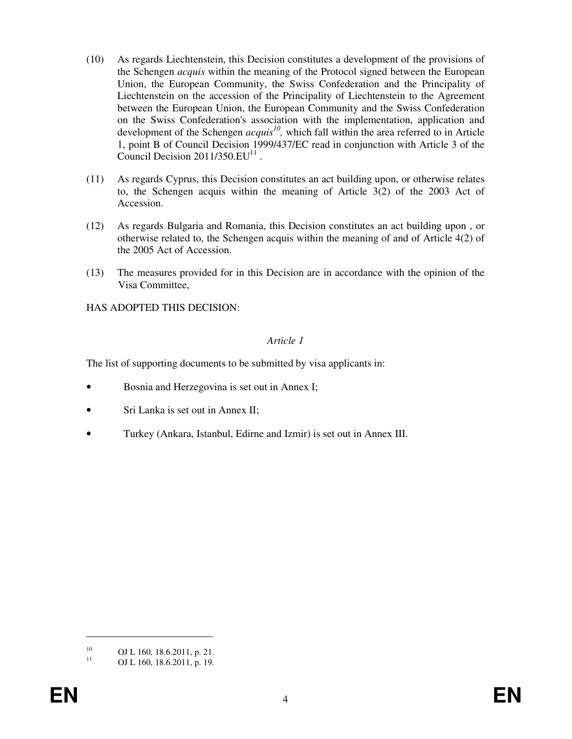- (10) As regards Liechtenstein, this Decision constitutes a development of the provisions of the Schengen *acquis* within the meaning of the Protocol signed between the European Union, the European Community, the Swiss Confederation and the Principality of Liechtenstein on the accession of the Principality of Liechtenstein to the Agreement between the European Union, the European Community and the Swiss Confederation on the Swiss Confederation's association with the implementation, application and development of the Schengen *acquis<sup>10</sup>*, which fall within the area referred to in Article 1, point B of Council Decision 1999/437/EC read in conjunction with Article 3 of the Council Decision  $2011/350.EU<sup>11</sup>$ .
- (11) As regards Cyprus, this Decision constitutes an act building upon, or otherwise relates to, the Schengen acquis within the meaning of Article 3(2) of the 2003 Act of Accession.
- (12) As regards Bulgaria and Romania, this Decision constitutes an act building upon , or otherwise related to, the Schengen acquis within the meaning of and of Article 4(2) of the 2005 Act of Accession.
- (13) The measures provided for in this Decision are in accordance with the opinion of the Visa Committee,

HAS ADOPTED THIS DECISION:

#### *Article 1*

The list of supporting documents to be submitted by visa applicants in:

- Bosnia and Herzegovina is set out in Annex I;
- Sri Lanka is set out in Annex II;
- Turkey (Ankara, Istanbul, Edirne and Izmir) is set out in Annex III.

<sup>&</sup>lt;sup>10</sup> OJ L 160, 18.6.2011, p. 21.<br>
OJ L 160, 18.6.2011, p. 10

OJ L 160, 18.6.2011, p. 19.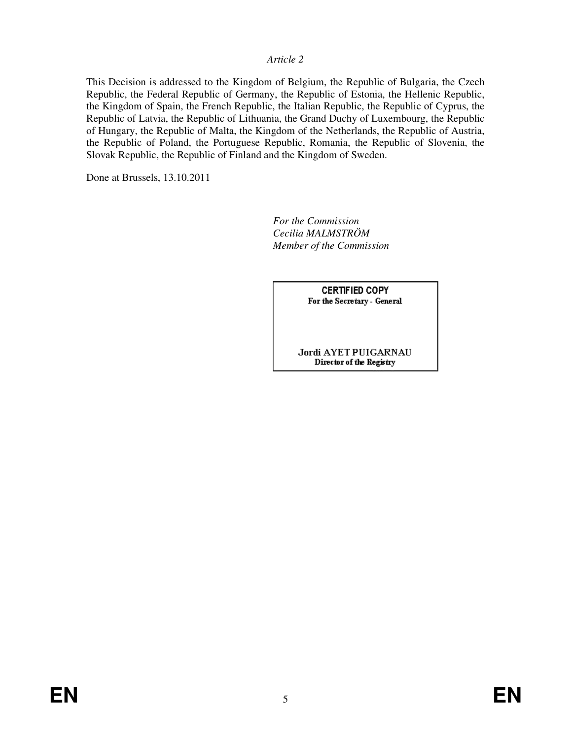#### *Article 2*

This Decision is addressed to the Kingdom of Belgium, the Republic of Bulgaria, the Czech Republic, the Federal Republic of Germany, the Republic of Estonia, the Hellenic Republic, the Kingdom of Spain, the French Republic, the Italian Republic, the Republic of Cyprus, the Republic of Latvia, the Republic of Lithuania, the Grand Duchy of Luxembourg, the Republic of Hungary, the Republic of Malta, the Kingdom of the Netherlands, the Republic of Austria, the Republic of Poland, the Portuguese Republic, Romania, the Republic of Slovenia, the Slovak Republic, the Republic of Finland and the Kingdom of Sweden.

Done at Brussels, 13.10.2011

*For the Commission Cecilia MALMSTRÖM Member of the Commission* 

> **CERTIFIED COPY** For the Secretary - General

Jordi AYET PUIGARNAU Director of the Registry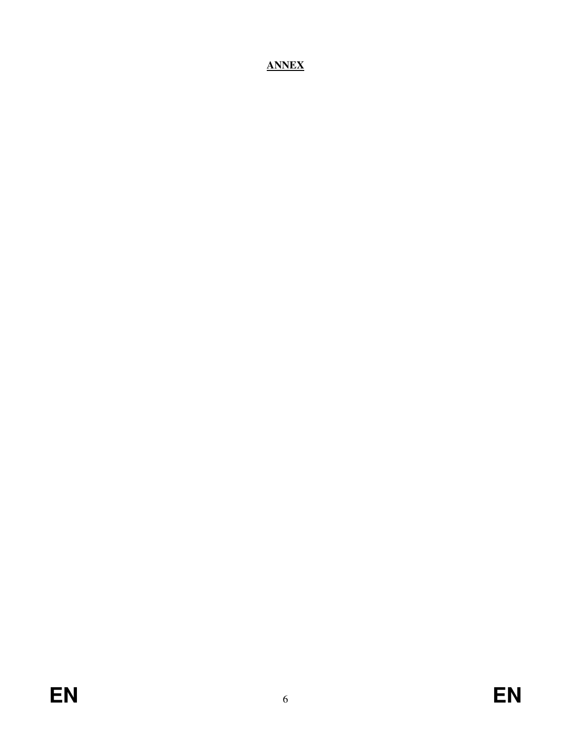# **ANNEX**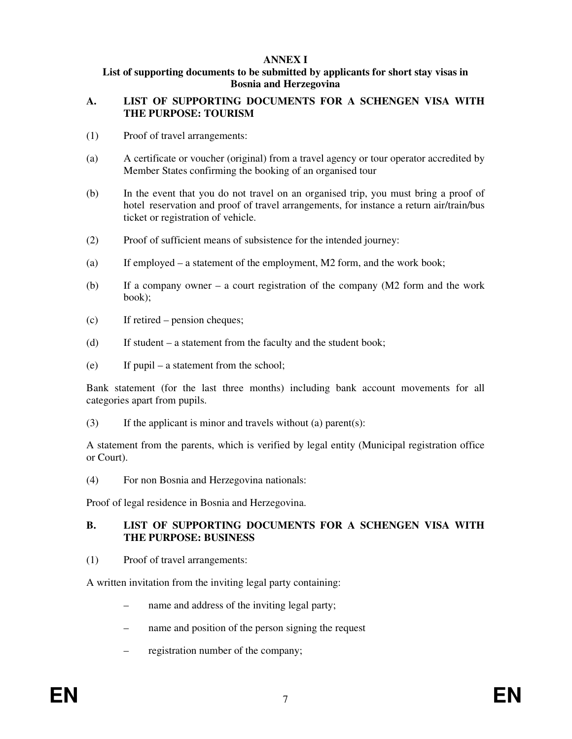## **ANNEX I**

#### **List of supporting documents to be submitted by applicants for short stay visas in Bosnia and Herzegovina**

## **A. LIST OF SUPPORTING DOCUMENTS FOR A SCHENGEN VISA WITH THE PURPOSE: TOURISM**

- (1) Proof of travel arrangements:
- (a) A certificate or voucher (original) from a travel agency or tour operator accredited by Member States confirming the booking of an organised tour
- (b) In the event that you do not travel on an organised trip, you must bring a proof of hotel reservation and proof of travel arrangements, for instance a return air/train/bus ticket or registration of vehicle.
- (2) Proof of sufficient means of subsistence for the intended journey:
- (a) If employed a statement of the employment, M2 form, and the work book;
- (b) If a company owner a court registration of the company (M2 form and the work book);
- (c) If retired pension cheques;
- (d) If student a statement from the faculty and the student book;
- (e) If pupil a statement from the school;

Bank statement (for the last three months) including bank account movements for all categories apart from pupils.

(3) If the applicant is minor and travels without (a) parent(s):

A statement from the parents, which is verified by legal entity (Municipal registration office or Court).

(4) For non Bosnia and Herzegovina nationals:

Proof of legal residence in Bosnia and Herzegovina.

## **B. LIST OF SUPPORTING DOCUMENTS FOR A SCHENGEN VISA WITH THE PURPOSE: BUSINESS**

(1) Proof of travel arrangements:

A written invitation from the inviting legal party containing:

- hame and address of the inviting legal party;
- name and position of the person signing the request
- registration number of the company;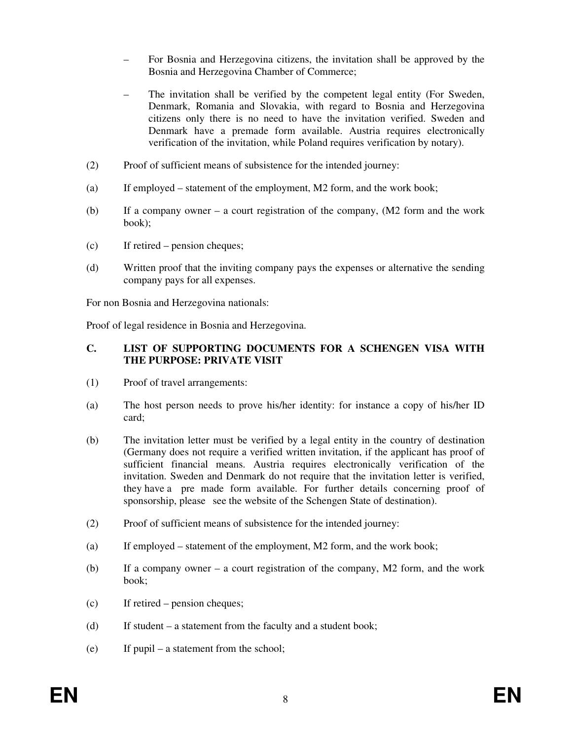- For Bosnia and Herzegovina citizens, the invitation shall be approved by the Bosnia and Herzegovina Chamber of Commerce;
- The invitation shall be verified by the competent legal entity (For Sweden, Denmark, Romania and Slovakia, with regard to Bosnia and Herzegovina citizens only there is no need to have the invitation verified. Sweden and Denmark have a premade form available. Austria requires electronically verification of the invitation, while Poland requires verification by notary).
- (2) Proof of sufficient means of subsistence for the intended journey:
- (a) If employed statement of the employment, M2 form, and the work book;
- (b) If a company owner a court registration of the company, (M2 form and the work book);
- (c) If retired pension cheques;
- (d) Written proof that the inviting company pays the expenses or alternative the sending company pays for all expenses.

For non Bosnia and Herzegovina nationals:

Proof of legal residence in Bosnia and Herzegovina.

## **C. LIST OF SUPPORTING DOCUMENTS FOR A SCHENGEN VISA WITH THE PURPOSE: PRIVATE VISIT**

- (1) Proof of travel arrangements:
- (a) The host person needs to prove his/her identity: for instance a copy of his/her ID card;
- (b) The invitation letter must be verified by a legal entity in the country of destination (Germany does not require a verified written invitation, if the applicant has proof of sufficient financial means. Austria requires electronically verification of the invitation. Sweden and Denmark do not require that the invitation letter is verified, they have a pre made form available. For further details concerning proof of sponsorship, please see the website of the Schengen State of destination).
- (2) Proof of sufficient means of subsistence for the intended journey:
- (a) If employed statement of the employment, M2 form, and the work book;
- (b) If a company owner a court registration of the company, M2 form, and the work book;
- (c) If retired pension cheques;
- (d) If student a statement from the faculty and a student book;
- (e) If pupil a statement from the school;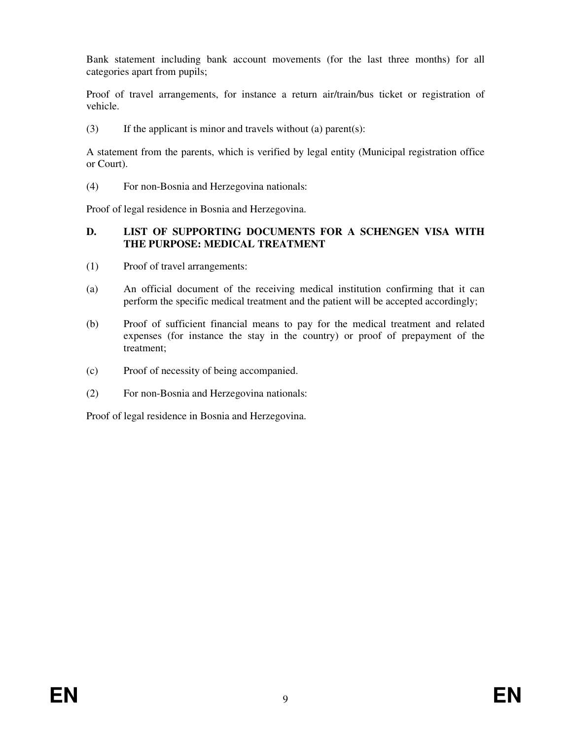Bank statement including bank account movements (for the last three months) for all categories apart from pupils;

Proof of travel arrangements, for instance a return air/train/bus ticket or registration of vehicle.

(3) If the applicant is minor and travels without (a) parent(s):

A statement from the parents, which is verified by legal entity (Municipal registration office or Court).

(4) For non-Bosnia and Herzegovina nationals:

Proof of legal residence in Bosnia and Herzegovina.

# **D. LIST OF SUPPORTING DOCUMENTS FOR A SCHENGEN VISA WITH THE PURPOSE: MEDICAL TREATMENT**

- (1) Proof of travel arrangements:
- (a) An official document of the receiving medical institution confirming that it can perform the specific medical treatment and the patient will be accepted accordingly;
- (b) Proof of sufficient financial means to pay for the medical treatment and related expenses (for instance the stay in the country) or proof of prepayment of the treatment;
- (c) Proof of necessity of being accompanied.
- (2) For non-Bosnia and Herzegovina nationals:

Proof of legal residence in Bosnia and Herzegovina.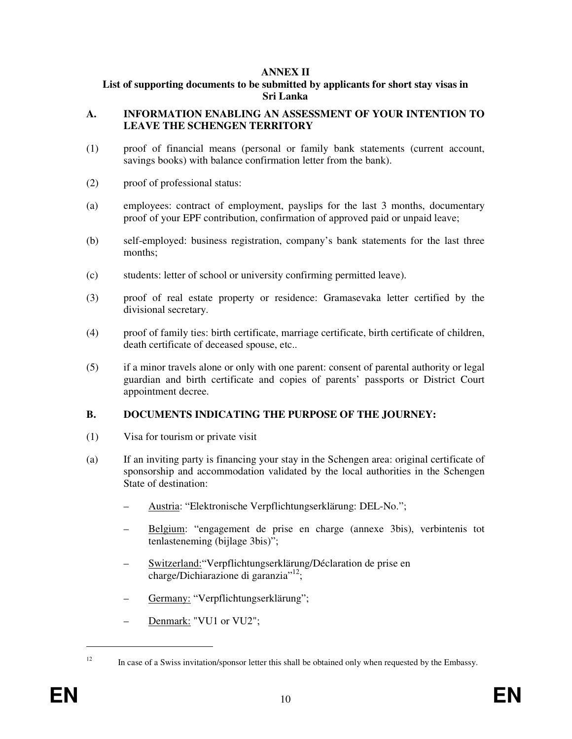## **ANNEX II**

#### **List of supporting documents to be submitted by applicants for short stay visas in Sri Lanka**

#### **A. INFORMATION ENABLING AN ASSESSMENT OF YOUR INTENTION TO LEAVE THE SCHENGEN TERRITORY**

- (1) proof of financial means (personal or family bank statements (current account, savings books) with balance confirmation letter from the bank).
- (2) proof of professional status:
- (a) employees: contract of employment, payslips for the last 3 months, documentary proof of your EPF contribution, confirmation of approved paid or unpaid leave;
- (b) self-employed: business registration, company's bank statements for the last three months;
- (c) students: letter of school or university confirming permitted leave).
- (3) proof of real estate property or residence: Gramasevaka letter certified by the divisional secretary.
- (4) proof of family ties: birth certificate, marriage certificate, birth certificate of children, death certificate of deceased spouse, etc..
- (5) if a minor travels alone or only with one parent: consent of parental authority or legal guardian and birth certificate and copies of parents' passports or District Court appointment decree.

#### **B. DOCUMENTS INDICATING THE PURPOSE OF THE JOURNEY:**

- (1) Visa for tourism or private visit
- (a) If an inviting party is financing your stay in the Schengen area: original certificate of sponsorship and accommodation validated by the local authorities in the Schengen State of destination:
	- Austria: "Elektronische Verpflichtungserklärung: DEL-No.";
	- Belgium: "engagement de prise en charge (annexe 3bis), verbintenis tot tenlasteneming (bijlage 3bis)";
	- Switzerland:"Verpflichtungserklärung/Déclaration de prise en charge/Dichiarazione di garanzia"<sup>12</sup>;
	- Germany: "Verpflichtungserklärung";
	- Denmark: "VU1 or VU2";

<sup>&</sup>lt;sup>12</sup> In case of a Swiss invitation/sponsor letter this shall be obtained only when requested by the Embassy.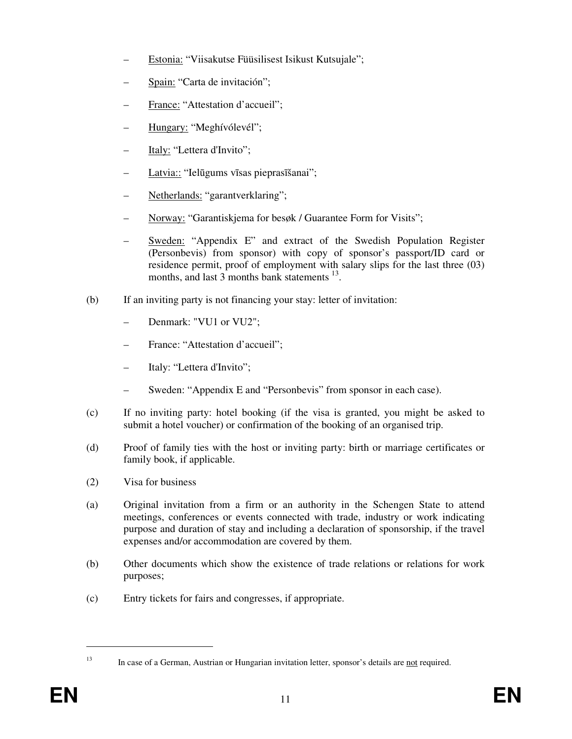- Estonia: "Viisakutse Füüsilisest Isikust Kutsujale";
- Spain: "Carta de invitación";
- France: "Attestation d'accueil";
- Hungary: "Meghívólevél";
- Italy: "Lettera d'Invito";
- Latvia:: "Ielūgums vīsas pieprasīšanai";
- Netherlands: "garantverklaring";
- Norway: "Garantiskjema for besøk / Guarantee Form for Visits";
- Sweden: "Appendix E" and extract of the Swedish Population Register (Personbevis) from sponsor) with copy of sponsor's passport/ID card or residence permit, proof of employment with salary slips for the last three (03) months, and last 3 months bank statements <sup>13</sup>.
- (b) If an inviting party is not financing your stay: letter of invitation:
	- Denmark: "VU1 or VU2";
	- France: "Attestation d'accueil";
	- Italy: "Lettera d'Invito";
	- Sweden: "Appendix E and "Personbevis" from sponsor in each case).
- (c) If no inviting party: hotel booking (if the visa is granted, you might be asked to submit a hotel voucher) or confirmation of the booking of an organised trip.
- (d) Proof of family ties with the host or inviting party: birth or marriage certificates or family book, if applicable.
- (2) Visa for business
- (a) Original invitation from a firm or an authority in the Schengen State to attend meetings, conferences or events connected with trade, industry or work indicating purpose and duration of stay and including a declaration of sponsorship, if the travel expenses and/or accommodation are covered by them.
- (b) Other documents which show the existence of trade relations or relations for work purposes;
- (c) Entry tickets for fairs and congresses, if appropriate.

<sup>&</sup>lt;sup>13</sup> In case of a German, Austrian or Hungarian invitation letter, sponsor's details are <u>not</u> required.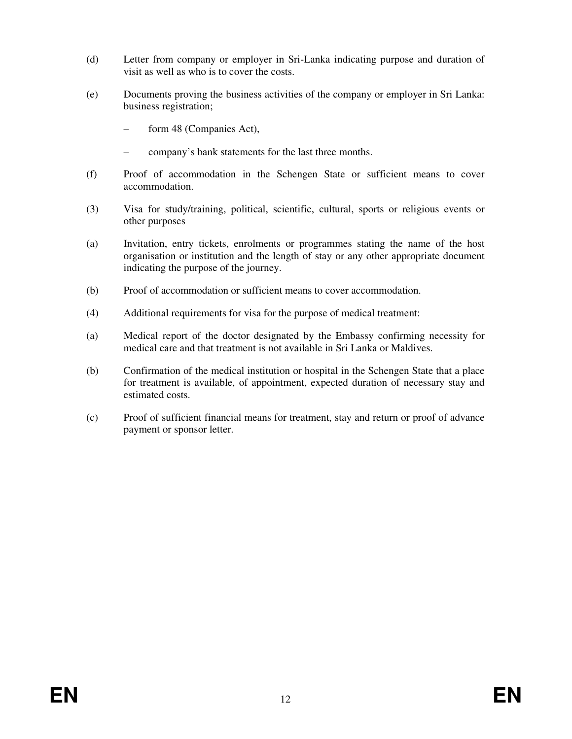- (d) Letter from company or employer in Sri-Lanka indicating purpose and duration of visit as well as who is to cover the costs.
- (e) Documents proving the business activities of the company or employer in Sri Lanka: business registration;
	- form 48 (Companies Act),
	- company's bank statements for the last three months.
- (f) Proof of accommodation in the Schengen State or sufficient means to cover accommodation.
- (3) Visa for study/training, political, scientific, cultural, sports or religious events or other purposes
- (a) Invitation, entry tickets, enrolments or programmes stating the name of the host organisation or institution and the length of stay or any other appropriate document indicating the purpose of the journey.
- (b) Proof of accommodation or sufficient means to cover accommodation.
- (4) Additional requirements for visa for the purpose of medical treatment:
- (a) Medical report of the doctor designated by the Embassy confirming necessity for medical care and that treatment is not available in Sri Lanka or Maldives.
- (b) Confirmation of the medical institution or hospital in the Schengen State that a place for treatment is available, of appointment, expected duration of necessary stay and estimated costs.
- (c) Proof of sufficient financial means for treatment, stay and return or proof of advance payment or sponsor letter.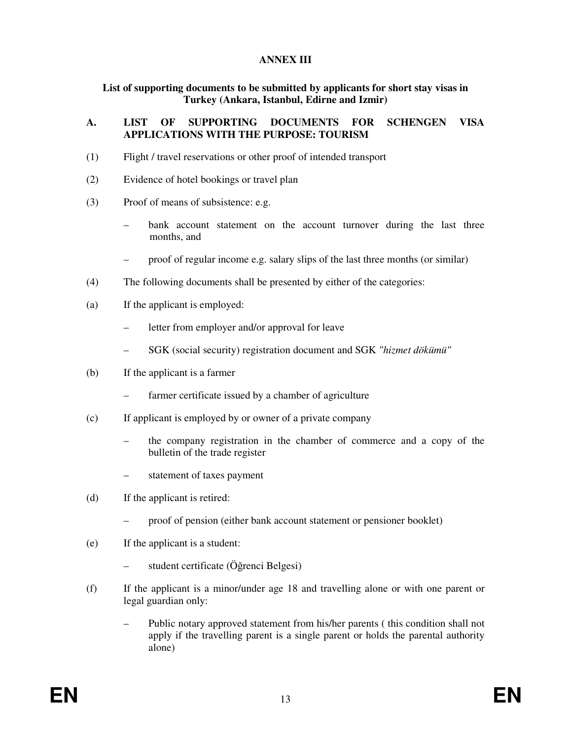#### **ANNEX III**

# **List of supporting documents to be submitted by applicants for short stay visas in Turkey (Ankara, Istanbul, Edirne and Izmir)**

## **A. LIST OF SUPPORTING DOCUMENTS FOR SCHENGEN VISA APPLICATIONS WITH THE PURPOSE: TOURISM**

- (1) Flight / travel reservations or other proof of intended transport
- (2) Evidence of hotel bookings or travel plan
- (3) Proof of means of subsistence: e.g.
	- bank account statement on the account turnover during the last three months, and
	- proof of regular income e.g. salary slips of the last three months (or similar)
- (4) The following documents shall be presented by either of the categories:
- (a) If the applicant is employed:
	- letter from employer and/or approval for leave
	- SGK (social security) registration document and SGK *"hizmet dökümü"*
- (b) If the applicant is a farmer
	- farmer certificate issued by a chamber of agriculture
- (c) If applicant is employed by or owner of a private company
	- the company registration in the chamber of commerce and a copy of the bulletin of the trade register
	- statement of taxes payment
- (d) If the applicant is retired:
	- proof of pension (either bank account statement or pensioner booklet)
- (e) If the applicant is a student:
	- student certificate (Öğrenci Belgesi)
- (f) If the applicant is a minor/under age 18 and travelling alone or with one parent or legal guardian only:
	- Public notary approved statement from his/her parents ( this condition shall not apply if the travelling parent is a single parent or holds the parental authority alone)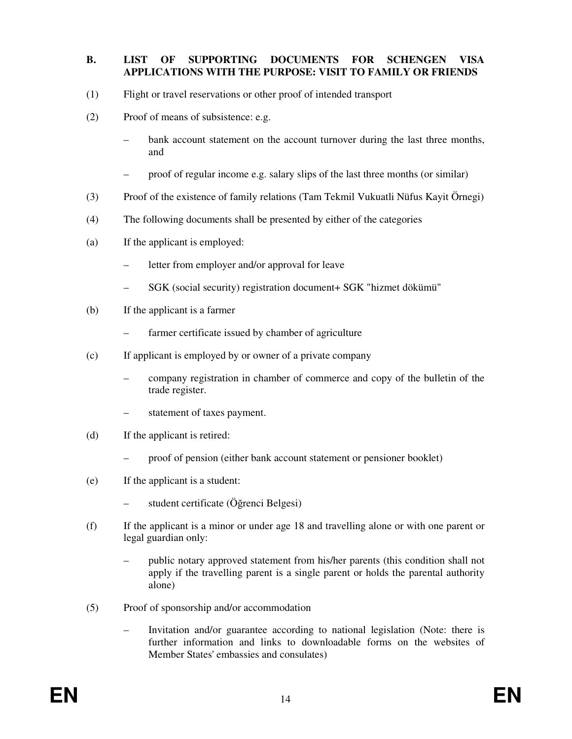#### **B. LIST OF SUPPORTING DOCUMENTS FOR SCHENGEN VISA APPLICATIONS WITH THE PURPOSE: VISIT TO FAMILY OR FRIENDS**

- (1) Flight or travel reservations or other proof of intended transport
- (2) Proof of means of subsistence: e.g.
	- bank account statement on the account turnover during the last three months, and
	- proof of regular income e.g. salary slips of the last three months (or similar)
- (3) Proof of the existence of family relations (Tam Tekmil Vukuatli Nüfus Kayit Örnegi)
- (4) The following documents shall be presented by either of the categories
- (a) If the applicant is employed:
	- letter from employer and/or approval for leave
	- SGK (social security) registration document+ SGK "hizmet dökümü"
- (b) If the applicant is a farmer
	- farmer certificate issued by chamber of agriculture
- (c) If applicant is employed by or owner of a private company
	- company registration in chamber of commerce and copy of the bulletin of the trade register.
	- statement of taxes payment.
- (d) If the applicant is retired:
	- proof of pension (either bank account statement or pensioner booklet)
- (e) If the applicant is a student:
	- student certificate (Öğrenci Belgesi)
- (f) If the applicant is a minor or under age 18 and travelling alone or with one parent or legal guardian only:
	- public notary approved statement from his/her parents (this condition shall not apply if the travelling parent is a single parent or holds the parental authority alone)
- (5) Proof of sponsorship and/or accommodation
	- Invitation and/or guarantee according to national legislation (Note: there is further information and links to downloadable forms on the websites of Member States' embassies and consulates)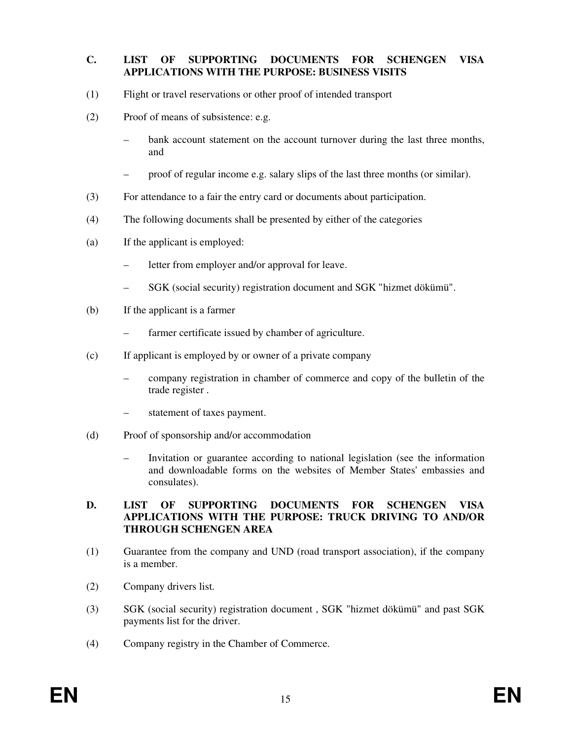## **C. LIST OF SUPPORTING DOCUMENTS FOR SCHENGEN VISA APPLICATIONS WITH THE PURPOSE: BUSINESS VISITS**

- (1) Flight or travel reservations or other proof of intended transport
- (2) Proof of means of subsistence: e.g.
	- bank account statement on the account turnover during the last three months, and
	- proof of regular income e.g. salary slips of the last three months (or similar).
- (3) For attendance to a fair the entry card or documents about participation.
- (4) The following documents shall be presented by either of the categories
- (a) If the applicant is employed:
	- letter from employer and/or approval for leave.
	- SGK (social security) registration document and SGK "hizmet dökümü".
- (b) If the applicant is a farmer
	- farmer certificate issued by chamber of agriculture.
- (c) If applicant is employed by or owner of a private company
	- company registration in chamber of commerce and copy of the bulletin of the trade register .
	- statement of taxes payment.
- (d) Proof of sponsorship and/or accommodation
	- Invitation or guarantee according to national legislation (see the information and downloadable forms on the websites of Member States' embassies and consulates).

#### **D. LIST OF SUPPORTING DOCUMENTS FOR SCHENGEN VISA APPLICATIONS WITH THE PURPOSE: TRUCK DRIVING TO AND/OR THROUGH SCHENGEN AREA**

- (1) Guarantee from the company and UND (road transport association), if the company is a member.
- (2) Company drivers list.
- (3) SGK (social security) registration document , SGK "hizmet dökümü" and past SGK payments list for the driver.
- (4) Company registry in the Chamber of Commerce.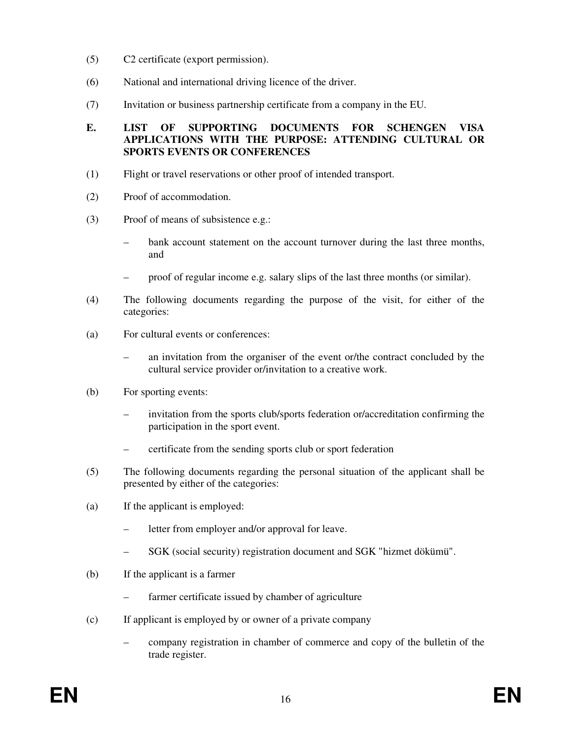- (5) C2 certificate (export permission).
- (6) National and international driving licence of the driver.
- (7) Invitation or business partnership certificate from a company in the EU.

## **E. LIST OF SUPPORTING DOCUMENTS FOR SCHENGEN VISA APPLICATIONS WITH THE PURPOSE: ATTENDING CULTURAL OR SPORTS EVENTS OR CONFERENCES**

- (1) Flight or travel reservations or other proof of intended transport.
- (2) Proof of accommodation.
- (3) Proof of means of subsistence e.g.:
	- bank account statement on the account turnover during the last three months, and
	- proof of regular income e.g. salary slips of the last three months (or similar).
- (4) The following documents regarding the purpose of the visit, for either of the categories:
- (a) For cultural events or conferences:
	- an invitation from the organiser of the event or/the contract concluded by the cultural service provider or/invitation to a creative work.
- (b) For sporting events:
	- invitation from the sports club/sports federation or/accreditation confirming the participation in the sport event.
	- certificate from the sending sports club or sport federation
- (5) The following documents regarding the personal situation of the applicant shall be presented by either of the categories:
- (a) If the applicant is employed:
	- letter from employer and/or approval for leave.
	- SGK (social security) registration document and SGK "hizmet dökümü".
- (b) If the applicant is a farmer
	- farmer certificate issued by chamber of agriculture
- (c) If applicant is employed by or owner of a private company
	- company registration in chamber of commerce and copy of the bulletin of the trade register.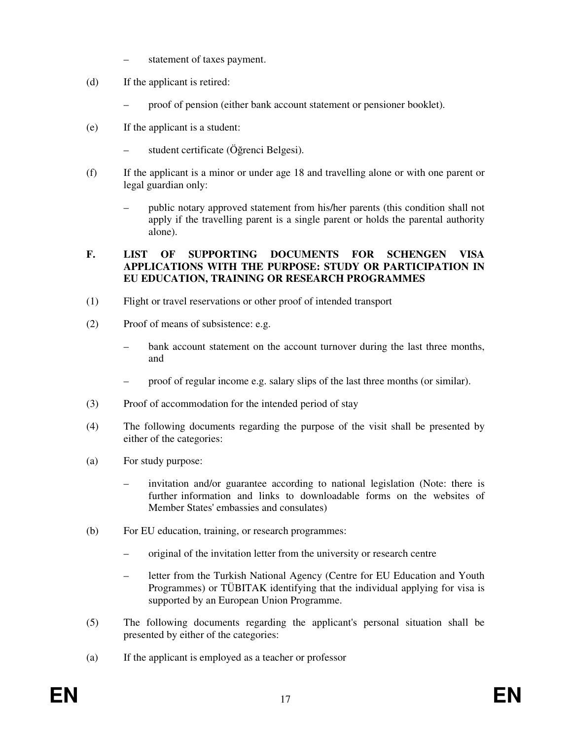- statement of taxes payment.
- (d) If the applicant is retired:
	- proof of pension (either bank account statement or pensioner booklet).
- (e) If the applicant is a student:
	- student certificate (Öğrenci Belgesi).
- (f) If the applicant is a minor or under age 18 and travelling alone or with one parent or legal guardian only:
	- public notary approved statement from his/her parents (this condition shall not apply if the travelling parent is a single parent or holds the parental authority alone).

# **F. LIST OF SUPPORTING DOCUMENTS FOR SCHENGEN VISA APPLICATIONS WITH THE PURPOSE: STUDY OR PARTICIPATION IN EU EDUCATION, TRAINING OR RESEARCH PROGRAMMES**

- (1) Flight or travel reservations or other proof of intended transport
- (2) Proof of means of subsistence: e.g.
	- bank account statement on the account turnover during the last three months, and
	- proof of regular income e.g. salary slips of the last three months (or similar).
- (3) Proof of accommodation for the intended period of stay
- (4) The following documents regarding the purpose of the visit shall be presented by either of the categories:
- (a) For study purpose:
	- invitation and/or guarantee according to national legislation (Note: there is further information and links to downloadable forms on the websites of Member States' embassies and consulates)
- (b) For EU education, training, or research programmes:
	- original of the invitation letter from the university or research centre
	- letter from the Turkish National Agency (Centre for EU Education and Youth Programmes) or TÜBITAK identifying that the individual applying for visa is supported by an European Union Programme.
- (5) The following documents regarding the applicant's personal situation shall be presented by either of the categories:
- (a) If the applicant is employed as a teacher or professor